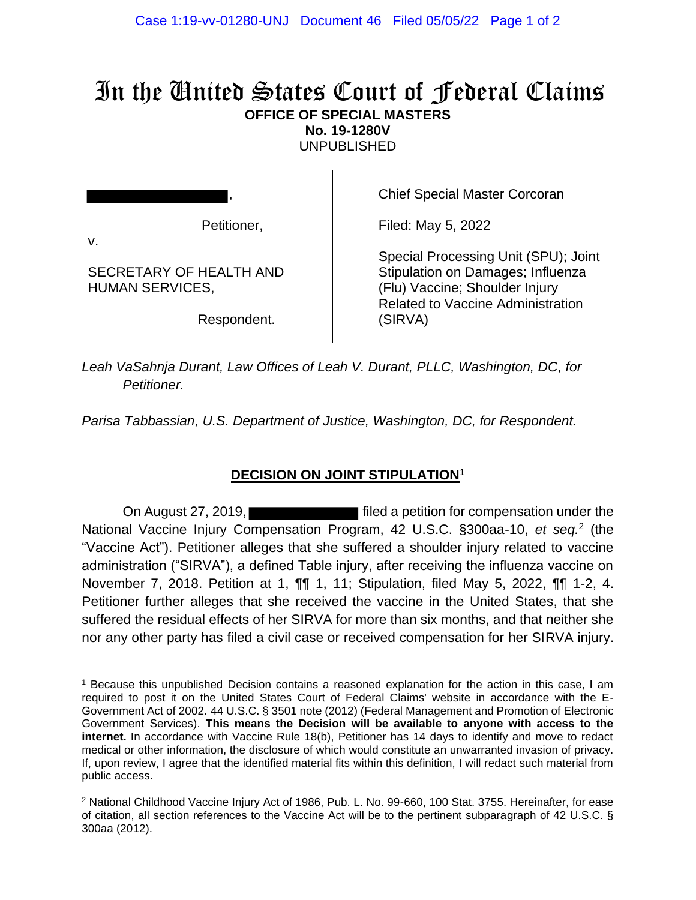## In the United States Court of Federal Claims **OFFICE OF SPECIAL MASTERS**

**No. 19-1280V**

UNPUBLISHED

Petitioner,

SECRETARY OF HEALTH AND

HUMAN SERVICES,

v.

,

Chief Special Master Corcoran

Filed: May 5, 2022

Special Processing Unit (SPU); Joint Stipulation on Damages; Influenza (Flu) Vaccine; Shoulder Injury Related to Vaccine Administration (SIRVA)

Respondent.

*Leah VaSahnja Durant, Law Offices of Leah V. Durant, PLLC, Washington, DC, for Petitioner.*

*Parisa Tabbassian, U.S. Department of Justice, Washington, DC, for Respondent.*

## **DECISION ON JOINT STIPULATION**<sup>1</sup>

On August 27, 2019, **Filter** is a petition for compensation under the National Vaccine Injury Compensation Program, 42 U.S.C. §300aa-10, et seq.<sup>2</sup> (the "Vaccine Act"). Petitioner alleges that she suffered a shoulder injury related to vaccine administration ("SIRVA"), a defined Table injury, after receiving the influenza vaccine on November 7, 2018. Petition at 1, ¶¶ 1, 11; Stipulation, filed May 5, 2022, ¶¶ 1-2, 4. Petitioner further alleges that she received the vaccine in the United States, that she suffered the residual effects of her SIRVA for more than six months, and that neither she nor any other party has filed a civil case or received compensation for her SIRVA injury.

<sup>1</sup> Because this unpublished Decision contains a reasoned explanation for the action in this case, I am required to post it on the United States Court of Federal Claims' website in accordance with the E-Government Act of 2002. 44 U.S.C. § 3501 note (2012) (Federal Management and Promotion of Electronic Government Services). **This means the Decision will be available to anyone with access to the internet.** In accordance with Vaccine Rule 18(b), Petitioner has 14 days to identify and move to redact medical or other information, the disclosure of which would constitute an unwarranted invasion of privacy. If, upon review, I agree that the identified material fits within this definition, I will redact such material from public access.

<sup>2</sup> National Childhood Vaccine Injury Act of 1986, Pub. L. No. 99-660, 100 Stat. 3755. Hereinafter, for ease of citation, all section references to the Vaccine Act will be to the pertinent subparagraph of 42 U.S.C. § 300aa (2012).